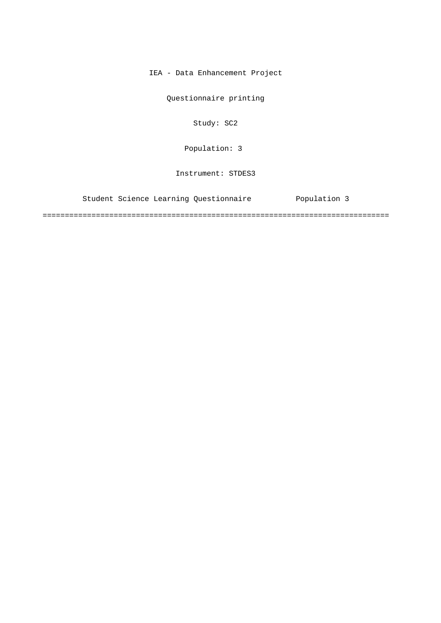IEA - Data Enhancement Project

Questionnaire printing

Study: SC2

Population: 3

Instrument: STDES3

Student Science Learning Questionnaire Population 3

==============================================================================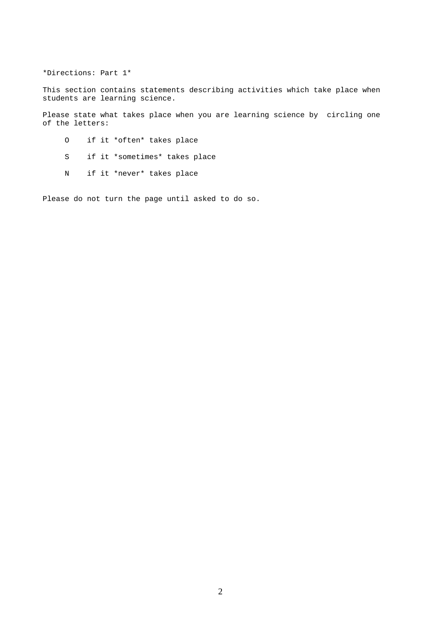\*Directions: Part 1\*

This section contains statements describing activities which take place when students are learning science.

Please state what takes place when you are learning science by circling one of the letters:

- O if it \*often\* takes place
- S if it \*sometimes\* takes place
- N if it \*never\* takes place

Please do not turn the page until asked to do so.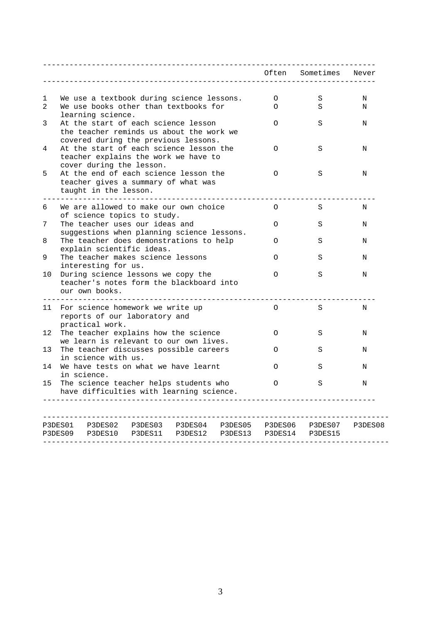|                                                                                                                                        | Often         | Sometimes       | Never   |
|----------------------------------------------------------------------------------------------------------------------------------------|---------------|-----------------|---------|
|                                                                                                                                        |               |                 |         |
| We use a textbook during science lessons.<br>1<br>$\mathfrak{D}$<br>We use books other than textbooks for<br>learning science.         | 0<br>$\Omega$ | S<br>S          | Ν<br>N  |
| At the start of each science lesson<br>3<br>the teacher reminds us about the work we                                                   | $\Omega$      | S               | N       |
| covered during the previous lessons.<br>At the start of each science lesson the<br>4<br>teacher explains the work we have to           | $\Omega$      | S               | N       |
| cover during the lesson.<br>5<br>At the end of each science lesson the<br>teacher gives a summary of what was<br>taught in the lesson. | $\Omega$      | S               | Ν       |
| We are allowed to make our own choice<br>6<br>of science topics to study.                                                              | O             | S               | N       |
| The teacher uses our ideas and<br>7<br>suggestions when planning science lessons.                                                      | $\Omega$      | S               | Ν       |
| The teacher does demonstrations to help<br>8<br>explain scientific ideas.                                                              | $\Omega$      | S               | N       |
| 9<br>The teacher makes science lessons<br>interesting for us.                                                                          | $\Omega$      | S               | Ν       |
| During science lessons we copy the<br>10<br>teacher's notes form the blackboard into<br>our own books.                                 | $\Omega$      | S               | N       |
| For science homework we write up<br>11<br>reports of our laboratory and<br>practical work.                                             | 0             | S               | N       |
| 12<br>The teacher explains how the science<br>we learn is relevant to our own lives.                                                   | $\circ$       | S               | N       |
| The teacher discusses possible careers<br>13<br>in science with us.                                                                    | $\Omega$      | S               | N       |
| We have tests on what we have learnt<br>14<br>in science.                                                                              | $\Omega$      | S               | Ν       |
| The science teacher helps students who<br>15<br>have difficulties with learning science.                                               | $\Omega$      | S               | N       |
|                                                                                                                                        |               |                 | P3DES08 |
| P3DES10 P3DES11<br>P3DES09<br>P3DES12<br>P3DES13                                                                                       |               | P3DES14 P3DES15 |         |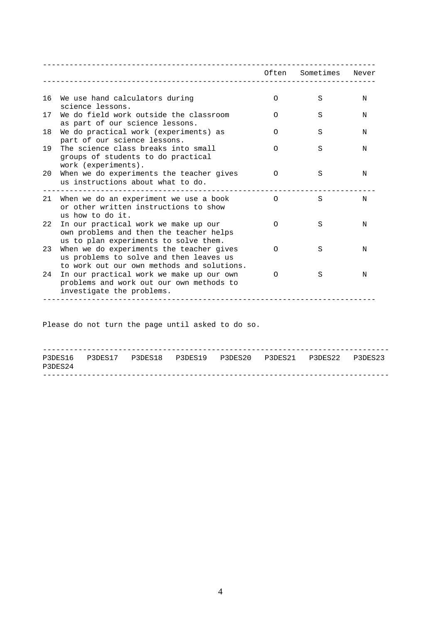|    |                                                                                                                                   |          | Often Sometimes | Never |
|----|-----------------------------------------------------------------------------------------------------------------------------------|----------|-----------------|-------|
|    |                                                                                                                                   |          |                 |       |
| 16 | We use hand calculators during<br>science lessons.                                                                                | $\Omega$ | S               | N     |
| 17 | We do field work outside the classroom<br>as part of our science lessons.                                                         | $\Omega$ | S               | N     |
| 18 | We do practical work (experiments) as<br>part of our science lessons.                                                             | ∩        | S               | N     |
| 19 | The science class breaks into small<br>groups of students to do practical<br>work (experiments).                                  | ∩        | S               | N     |
| 20 | When we do experiments the teacher gives<br>us instructions about what to do.                                                     | $\Omega$ | S               | N     |
| 21 | When we do an experiment we use a book<br>or other written instructions to show<br>us how to do it.                               | $\Omega$ | S               | N     |
| 22 | In our practical work we make up our<br>own problems and then the teacher helps<br>us to plan experiments to solve them.          | $\Omega$ | S               | N     |
| 23 | When we do experiments the teacher gives<br>us problems to solve and then leaves us<br>to work out our own methods and solutions. | $\Omega$ | S               | N     |
| 24 | In our practical work we make up our own<br>problems and work out our own methods to<br>investigate the problems.                 | Ω        | S               | N     |
|    |                                                                                                                                   |          |                 |       |

Please do not turn the page until asked to do so.

| P3DES24 |  |  | P3DES16 P3DES17 P3DES18 P3DES19 P3DES20 P3DES21 P3DES22 P3DES23 |  |
|---------|--|--|-----------------------------------------------------------------|--|
|         |  |  |                                                                 |  |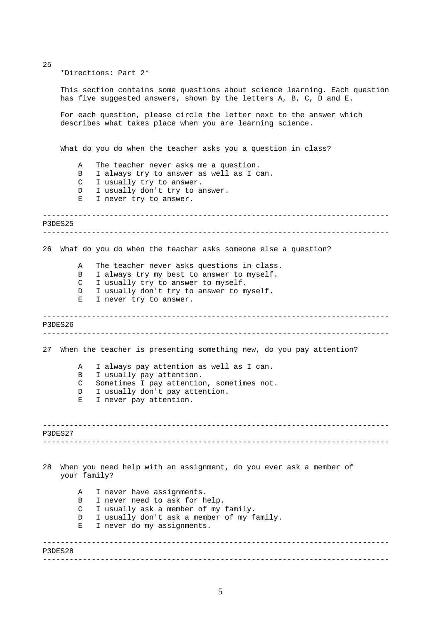\*Directions: Part 2\*

25

This section contains some questions about science learning. Each question has five suggested answers, shown by the letters A, B, C, D and E.

For each question, please circle the letter next to the answer which describes what takes place when you are learning science.

What do you do when the teacher asks you a question in class?

- A The teacher never asks me a question.
- B I always try to answer as well as I can.
- C I usually try to answer.
- D I usually don't try to answer.
- E I never try to answer.

```
------------------------------------------------------------------------------ 
 ------------------------------------------------------------------------------ 
P3DES25
```
26 What do you do when the teacher asks someone else a question?

A The teacher never asks questions in class.

- B I always try my best to answer to myself.
- C I usually try to answer to myself.
- D I usually don't try to answer to myself.
- E I never try to answer.

------------------------------------------------------------------------------ ------------------------------------------------------------------------------ P3DES26

27 When the teacher is presenting something new, do you pay attention?

- A I always pay attention as well as I can. B I usually pay attention.
- C Sometimes I pay attention, sometimes not.
- D I usually don't pay attention.
- E I never pay attention.

------------------------------------------------------------------------------ ------------------------------------------------------------------------------ P3DES27

28 When you need help with an assignment, do you ever ask a member of your family?

------------------------------------------------------------------------------ A I never have assignments. B I never need to ask for help. C I usually ask a member of my family. D I usually don't ask a member of my family. E I never do my assignments.

P3DES28

5

------------------------------------------------------------------------------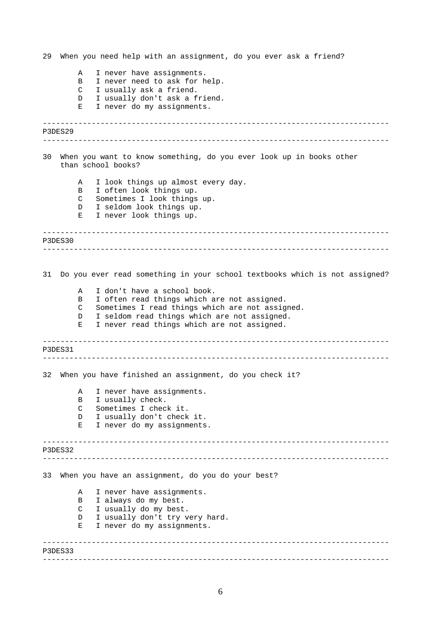------------------------------------------------------------------------------ ------------------------------------------------------------------------------ ------------------------------------------------------------------------------ ------------------------------------------------------------------------------ ------------------------------------------------------------------------------ ------------------------------------------------------------------------------ ------------------------------------------------------------------------------ ------------------------------------------------------------------------------ ------------------------------------------------------------------------------ ------------------------------------------------------------------------------ 29 When you need help with an assignment, do you ever ask a friend? A I never have assignments. B I never need to ask for help. C I usually ask a friend. D I usually don't ask a friend. E I never do my assignments. P3DES29 30 When you want to know something, do you ever look up in books other than school books? A I look things up almost every day. B I often look things up. C Sometimes I look things up. D I seldom look things up. E I never look things up. P3DES30 31 Do you ever read something in your school textbooks which is not assigned? A I don't have a school book. B I often read things which are not assigned. C Sometimes I read things which are not assigned. D I seldom read things which are not assigned. E I never read things which are not assigned. P3DES31 32 When you have finished an assignment, do you check it? A I never have assignments. B I usually check. C Sometimes I check it. D I usually don't check it. E I never do my assignments. P3DES32 33 When you have an assignment, do you do your best? A I never have assignments. B I always do my best. C I usually do my best. D I usually don't try very hard. E I never do my assignments. P3DES33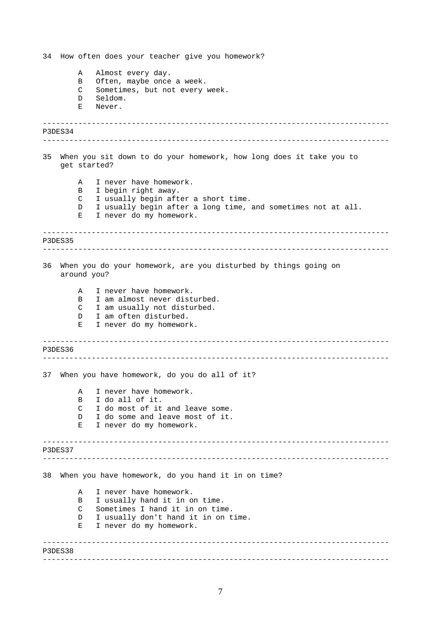------------------------------------------------------------------------------ ------------------------------------------------------------------------------ ------------------------------------------------------------------------------ ------------------------------------------------------------------------------ ------------------------------------------------------------------------------ ------------------------------------------------------------------------------ ------------------------------------------------------------------------------ ------------------------------------------------------------------------------ ------------------------------------------------------------------------------ ------------------------------------------------------------------------------ 34 How often does your teacher give you homework? A Almost every day. B Often, maybe once a week. C Sometimes, but not every week. D Seldom. E Never. P3DES34 35 When you sit down to do your homework, how long does it take you to get started? A I never have homework. B I begin right away. C I usually begin after a short time. D I usually begin after a long time, and sometimes not at all. E I never do my homework. P3DES35 36 When you do your homework, are you disturbed by things going on around you? A I never have homework. B I am almost never disturbed. C I am usually not disturbed. D I am often disturbed. E I never do my homework. P3DES36 37 When you have homework, do you do all of it? A I never have homework. B I do all of it. C I do most of it and leave some. D I do some and leave most of it. E I never do my homework. P3DES37 38 When you have homework, do you hand it in on time? A I never have homework. B I usually hand it in on time. C Sometimes I hand it in on time. D I usually don't hand it in on time. E I never do my homework. P3DES38